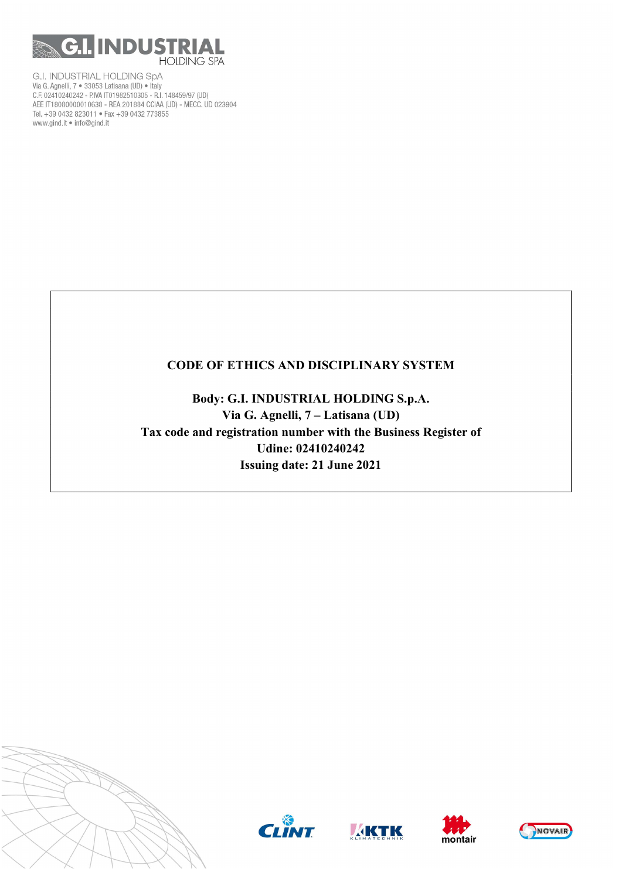

# CODE OF ETHICS AND DISCIPLINARY SYSTEM

Body: G.I. INDUSTRIAL HOLDING S.p.A. Via G. Agnelli, 7 – Latisana (UD) Tax code and registration number with the Business Register of Udine: 02410240242 Issuing date: 21 June 2021









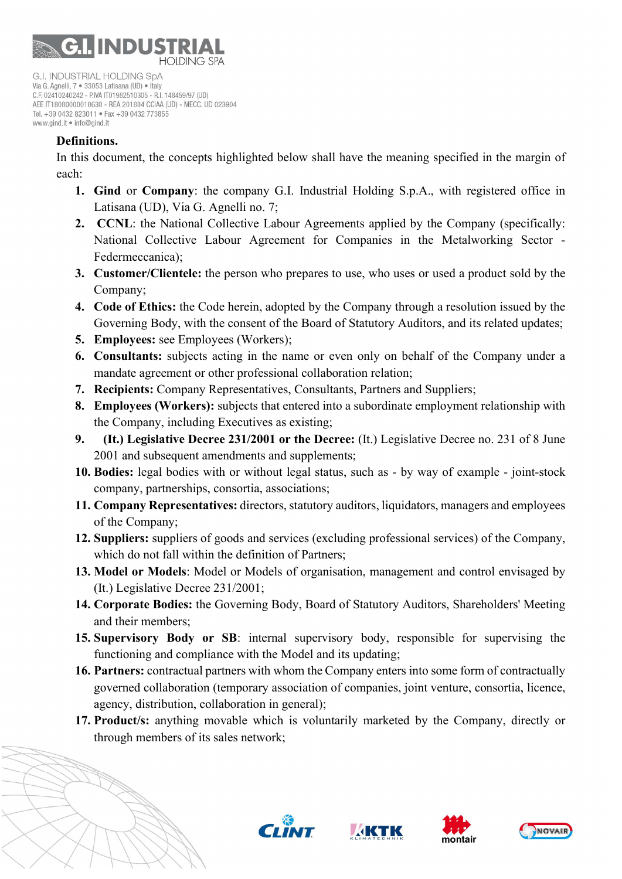

## Definitions.

In this document, the concepts highlighted below shall have the meaning specified in the margin of each:

- 1. Gind or Company: the company G.I. Industrial Holding S.p.A., with registered office in Latisana (UD), Via G. Agnelli no. 7;
- 2. CCNL: the National Collective Labour Agreements applied by the Company (specifically: National Collective Labour Agreement for Companies in the Metalworking Sector - Federmeccanica);
- 3. Customer/Clientele: the person who prepares to use, who uses or used a product sold by the Company;
- 4. Code of Ethics: the Code herein, adopted by the Company through a resolution issued by the Governing Body, with the consent of the Board of Statutory Auditors, and its related updates;
- 5. Employees: see Employees (Workers);
- 6. Consultants: subjects acting in the name or even only on behalf of the Company under a mandate agreement or other professional collaboration relation;
- 7. Recipients: Company Representatives, Consultants, Partners and Suppliers;
- 8. Employees (Workers): subjects that entered into a subordinate employment relationship with the Company, including Executives as existing;
- 9. (It.) Legislative Decree 231/2001 or the Decree: (It.) Legislative Decree no. 231 of 8 June 2001 and subsequent amendments and supplements;
- 10. Bodies: legal bodies with or without legal status, such as by way of example joint-stock company, partnerships, consortia, associations;
- 11. Company Representatives: directors, statutory auditors, liquidators, managers and employees of the Company;
- 12. Suppliers: suppliers of goods and services (excluding professional services) of the Company, which do not fall within the definition of Partners:
- 13. Model or Models: Model or Models of organisation, management and control envisaged by (It.) Legislative Decree 231/2001;
- 14. Corporate Bodies: the Governing Body, Board of Statutory Auditors, Shareholders' Meeting and their members;
- 15. Supervisory Body or SB: internal supervisory body, responsible for supervising the functioning and compliance with the Model and its updating;
- 16. Partners: contractual partners with whom the Company enters into some form of contractually governed collaboration (temporary association of companies, joint venture, consortia, licence, agency, distribution, collaboration in general);
- 17. Product/s: anything movable which is voluntarily marketed by the Company, directly or through members of its sales network;







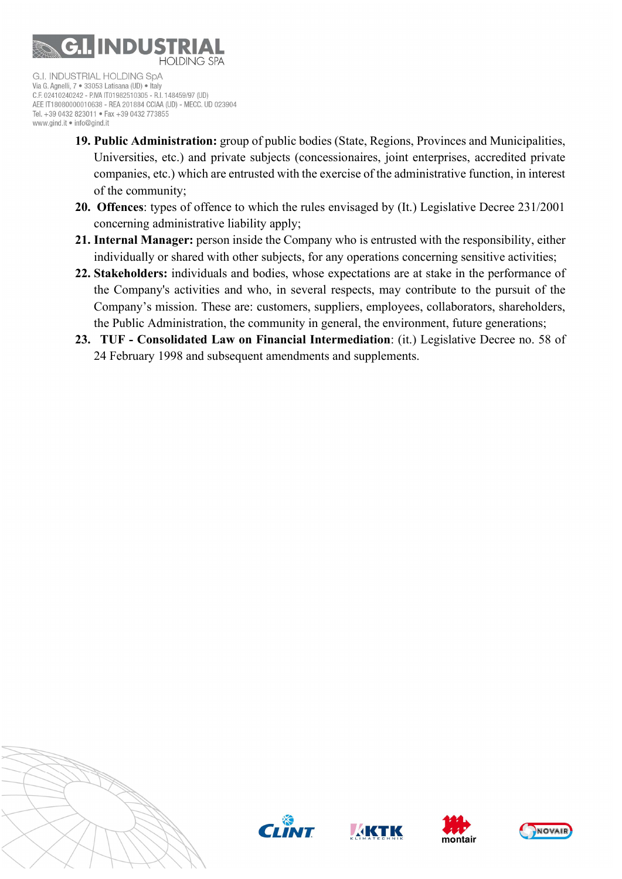

- 19. Public Administration: group of public bodies (State, Regions, Provinces and Municipalities, Universities, etc.) and private subjects (concessionaires, joint enterprises, accredited private companies, etc.) which are entrusted with the exercise of the administrative function, in interest of the community;
- 20. Offences: types of offence to which the rules envisaged by (It.) Legislative Decree 231/2001 concerning administrative liability apply;
- 21. Internal Manager: person inside the Company who is entrusted with the responsibility, either individually or shared with other subjects, for any operations concerning sensitive activities;
- 22. Stakeholders: individuals and bodies, whose expectations are at stake in the performance of the Company's activities and who, in several respects, may contribute to the pursuit of the Company's mission. These are: customers, suppliers, employees, collaborators, shareholders, the Public Administration, the community in general, the environment, future generations;
- 23. TUF Consolidated Law on Financial Intermediation: (it.) Legislative Decree no. 58 of 24 February 1998 and subsequent amendments and supplements.









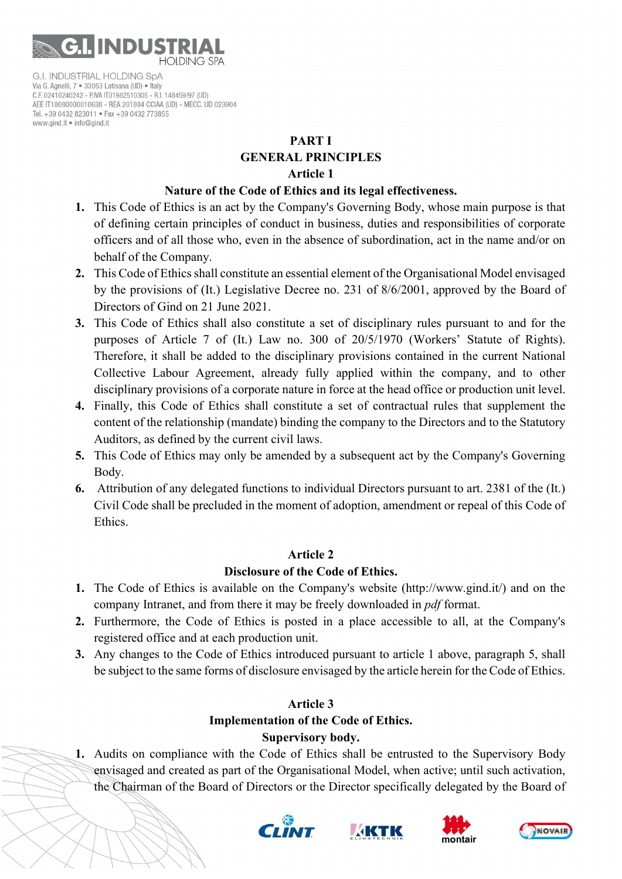

#### PART I

# GENERAL PRINCIPLES

#### Article 1

#### Nature of the Code of Ethics and its legal effectiveness.

- 1. This Code of Ethics is an act by the Company's Governing Body, whose main purpose is that of defining certain principles of conduct in business, duties and responsibilities of corporate officers and of all those who, even in the absence of subordination, act in the name and/or on behalf of the Company.
- 2. This Code of Ethics shall constitute an essential element of the Organisational Model envisaged by the provisions of (It.) Legislative Decree no. 231 of 8/6/2001, approved by the Board of Directors of Gind on 21 June 2021.
- 3. This Code of Ethics shall also constitute a set of disciplinary rules pursuant to and for the purposes of Article 7 of (It.) Law no. 300 of 20/5/1970 (Workers' Statute of Rights). Therefore, it shall be added to the disciplinary provisions contained in the current National Collective Labour Agreement, already fully applied within the company, and to other disciplinary provisions of a corporate nature in force at the head office or production unit level.
- 4. Finally, this Code of Ethics shall constitute a set of contractual rules that supplement the content of the relationship (mandate) binding the company to the Directors and to the Statutory Auditors, as defined by the current civil laws.
- 5. This Code of Ethics may only be amended by a subsequent act by the Company's Governing Body.
- 6. Attribution of any delegated functions to individual Directors pursuant to art. 2381 of the (It.) Civil Code shall be precluded in the moment of adoption, amendment or repeal of this Code of Ethics.

## Article 2

## Disclosure of the Code of Ethics.

- 1. The Code of Ethics is available on the Company's website (http://www.gind.it/) and on the company Intranet, and from there it may be freely downloaded in *pdf* format.
- 2. Furthermore, the Code of Ethics is posted in a place accessible to all, at the Company's registered office and at each production unit.
- 3. Any changes to the Code of Ethics introduced pursuant to article 1 above, paragraph 5, shall be subject to the same forms of disclosure envisaged by the article herein for the Code of Ethics.

# Article 3

# Implementation of the Code of Ethics.

# Supervisory body.

1. Audits on compliance with the Code of Ethics shall be entrusted to the Supervisory Body envisaged and created as part of the Organisational Model, when active; until such activation, the Chairman of the Board of Directors or the Director specifically delegated by the Board of







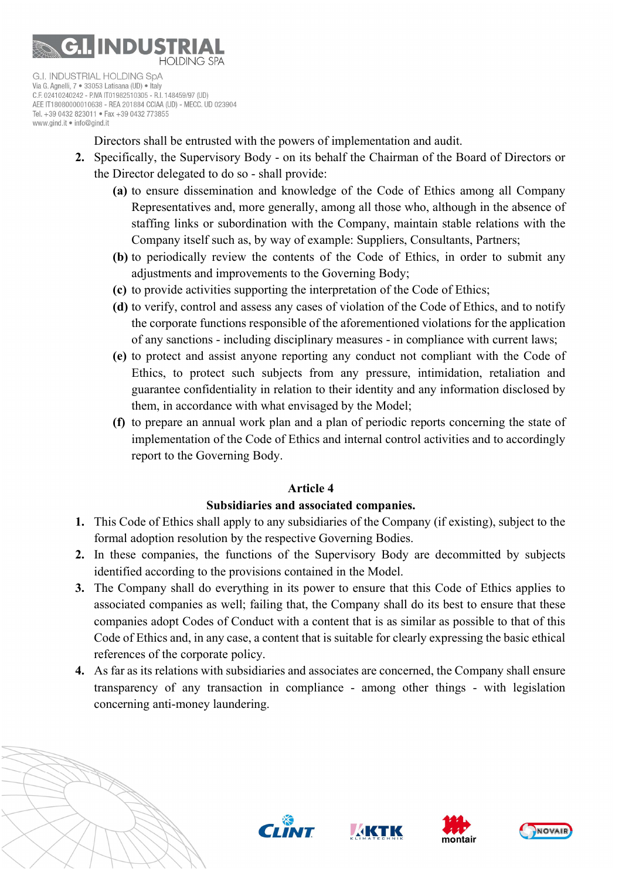

C.F. 02410240242 - P.IVA IT01982510305 - R.I. 148459/97 (UD) AEE IT18080000010638 - REA 201884 CCIAA (UD) - MECC, UD 023904 Tel. +39 0432 823011 · Fax +39 0432 773855 www.gind.it . info@gind.it

Directors shall be entrusted with the powers of implementation and audit.

- 2. Specifically, the Supervisory Body on its behalf the Chairman of the Board of Directors or the Director delegated to do so - shall provide:
	- (a) to ensure dissemination and knowledge of the Code of Ethics among all Company Representatives and, more generally, among all those who, although in the absence of staffing links or subordination with the Company, maintain stable relations with the Company itself such as, by way of example: Suppliers, Consultants, Partners;
	- (b) to periodically review the contents of the Code of Ethics, in order to submit any adjustments and improvements to the Governing Body;
	- (c) to provide activities supporting the interpretation of the Code of Ethics;
	- (d) to verify, control and assess any cases of violation of the Code of Ethics, and to notify the corporate functions responsible of the aforementioned violations for the application of any sanctions - including disciplinary measures - in compliance with current laws;
	- (e) to protect and assist anyone reporting any conduct not compliant with the Code of Ethics, to protect such subjects from any pressure, intimidation, retaliation and guarantee confidentiality in relation to their identity and any information disclosed by them, in accordance with what envisaged by the Model;
	- (f) to prepare an annual work plan and a plan of periodic reports concerning the state of implementation of the Code of Ethics and internal control activities and to accordingly report to the Governing Body.

## Article 4

## Subsidiaries and associated companies.

- 1. This Code of Ethics shall apply to any subsidiaries of the Company (if existing), subject to the formal adoption resolution by the respective Governing Bodies.
- 2. In these companies, the functions of the Supervisory Body are decommitted by subjects identified according to the provisions contained in the Model.
- 3. The Company shall do everything in its power to ensure that this Code of Ethics applies to associated companies as well; failing that, the Company shall do its best to ensure that these companies adopt Codes of Conduct with a content that is as similar as possible to that of this Code of Ethics and, in any case, a content that is suitable for clearly expressing the basic ethical references of the corporate policy.
- 4. As far as its relations with subsidiaries and associates are concerned, the Company shall ensure transparency of any transaction in compliance - among other things - with legislation concerning anti-money laundering.







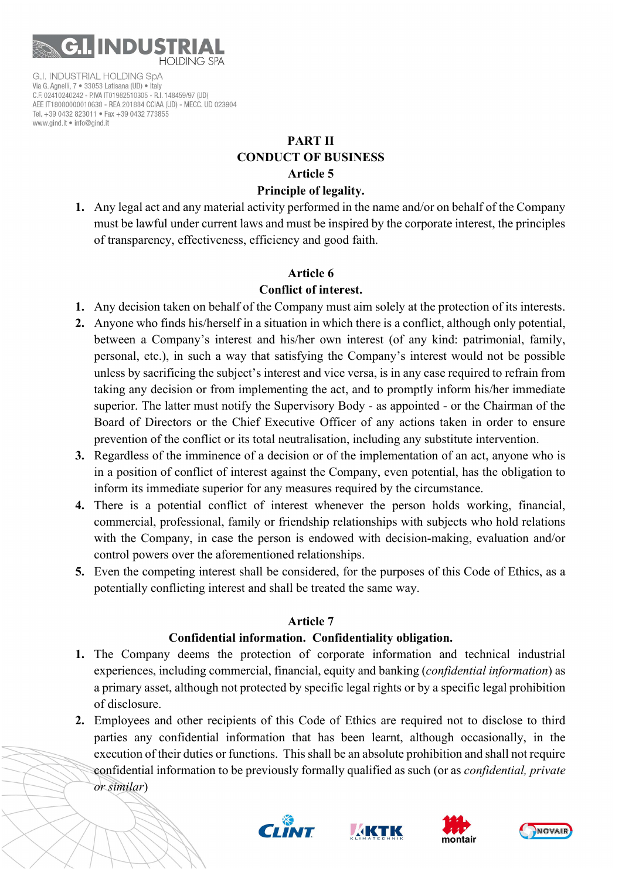

# PART II CONDUCT OF BUSINESS Article 5

# Principle of legality.

1. Any legal act and any material activity performed in the name and/or on behalf of the Company must be lawful under current laws and must be inspired by the corporate interest, the principles of transparency, effectiveness, efficiency and good faith.

## Article 6

# Conflict of interest.

- 1. Any decision taken on behalf of the Company must aim solely at the protection of its interests.
- 2. Anyone who finds his/herself in a situation in which there is a conflict, although only potential, between a Company's interest and his/her own interest (of any kind: patrimonial, family, personal, etc.), in such a way that satisfying the Company's interest would not be possible unless by sacrificing the subject's interest and vice versa, is in any case required to refrain from taking any decision or from implementing the act, and to promptly inform his/her immediate superior. The latter must notify the Supervisory Body - as appointed - or the Chairman of the Board of Directors or the Chief Executive Officer of any actions taken in order to ensure prevention of the conflict or its total neutralisation, including any substitute intervention.
- 3. Regardless of the imminence of a decision or of the implementation of an act, anyone who is in a position of conflict of interest against the Company, even potential, has the obligation to inform its immediate superior for any measures required by the circumstance.
- 4. There is a potential conflict of interest whenever the person holds working, financial, commercial, professional, family or friendship relationships with subjects who hold relations with the Company, in case the person is endowed with decision-making, evaluation and/or control powers over the aforementioned relationships.
- 5. Even the competing interest shall be considered, for the purposes of this Code of Ethics, as a potentially conflicting interest and shall be treated the same way.

## Article 7

## Confidential information. Confidentiality obligation.

- 1. The Company deems the protection of corporate information and technical industrial experiences, including commercial, financial, equity and banking *(confidential information)* as a primary asset, although not protected by specific legal rights or by a specific legal prohibition of disclosure.
- 2. Employees and other recipients of this Code of Ethics are required not to disclose to third parties any confidential information that has been learnt, although occasionally, in the execution of their duties or functions. This shall be an absolute prohibition and shall not require confidential information to be previously formally qualified as such (or as confidential, private or similar)







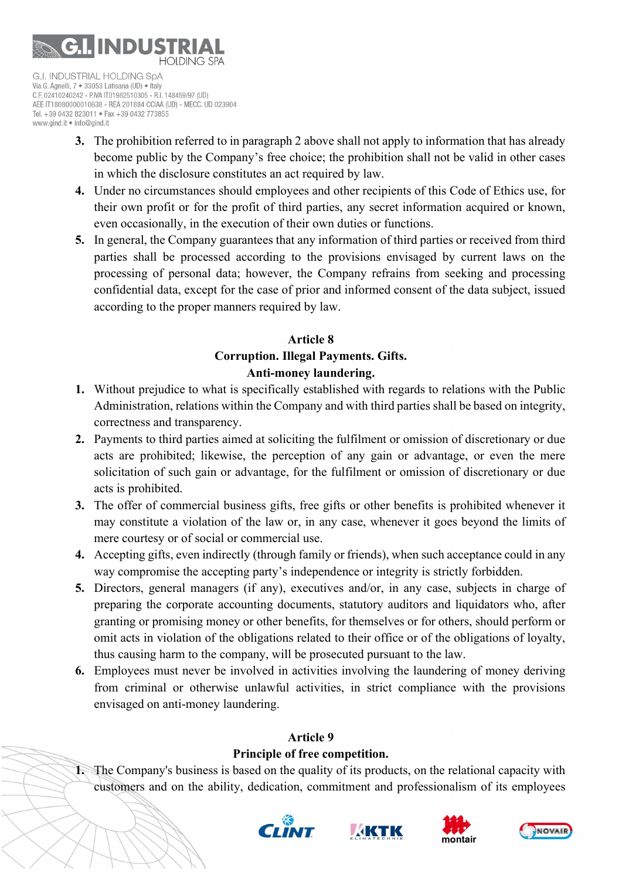

AEE IT18080000010638 - REA 201884 CCIAA (UD) - MECC, UD 023904 Tel. +39 0432 823011 · Fax +39 0432 773855 www.gind.it . info@gind.it

- 3. The prohibition referred to in paragraph 2 above shall not apply to information that has already become public by the Company's free choice; the prohibition shall not be valid in other cases in which the disclosure constitutes an act required by law.
- 4. Under no circumstances should employees and other recipients of this Code of Ethics use, for their own profit or for the profit of third parties, any secret information acquired or known, even occasionally, in the execution of their own duties or functions.
- 5. In general, the Company guarantees that any information of third parties or received from third parties shall be processed according to the provisions envisaged by current laws on the processing of personal data; however, the Company refrains from seeking and processing confidential data, except for the case of prior and informed consent of the data subject, issued according to the proper manners required by law.

# Article 8 Corruption. Illegal Payments. Gifts. Anti-money laundering.

- 1. Without prejudice to what is specifically established with regards to relations with the Public Administration, relations within the Company and with third parties shall be based on integrity, correctness and transparency.
- 2. Payments to third parties aimed at soliciting the fulfilment or omission of discretionary or due acts are prohibited; likewise, the perception of any gain or advantage, or even the mere solicitation of such gain or advantage, for the fulfilment or omission of discretionary or due acts is prohibited.
- 3. The offer of commercial business gifts, free gifts or other benefits is prohibited whenever it may constitute a violation of the law or, in any case, whenever it goes beyond the limits of mere courtesy or of social or commercial use.
- 4. Accepting gifts, even indirectly (through family or friends), when such acceptance could in any way compromise the accepting party's independence or integrity is strictly forbidden.
- 5. Directors, general managers (if any), executives and/or, in any case, subjects in charge of preparing the corporate accounting documents, statutory auditors and liquidators who, after granting or promising money or other benefits, for themselves or for others, should perform or omit acts in violation of the obligations related to their office or of the obligations of loyalty, thus causing harm to the company, will be prosecuted pursuant to the law.
- 6. Employees must never be involved in activities involving the laundering of money deriving from criminal or otherwise unlawful activities, in strict compliance with the provisions envisaged on anti-money laundering.

# Article 9

# Principle of free competition.

1. The Company's business is based on the quality of its products, on the relational capacity with customers and on the ability, dedication, commitment and professionalism of its employees







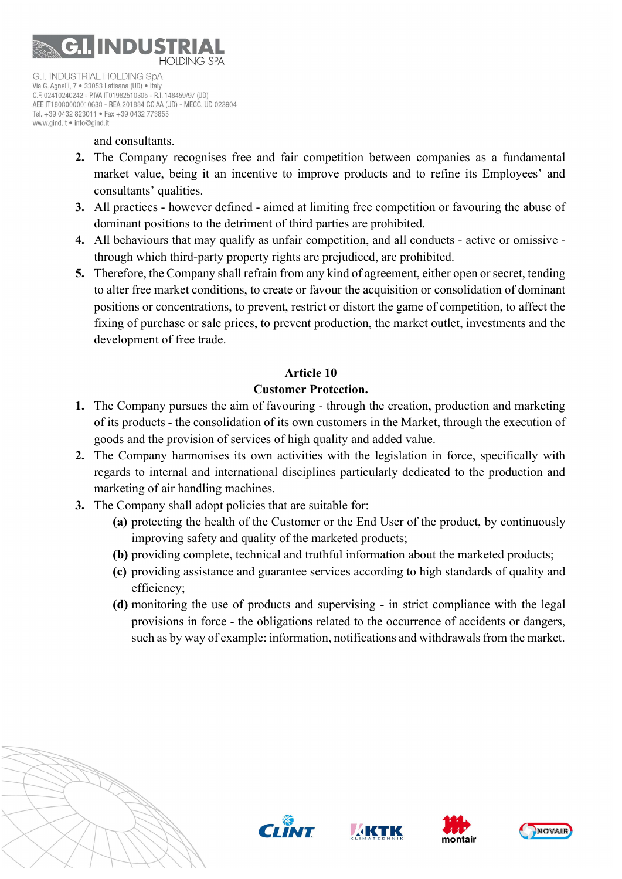

AEE IT18080000010638 - REA 201884 CCIAA (UD) - MECC, UD 023904 Tel. +39 0432 823011 · Fax +39 0432 773855 www.gind.it . info@gind.it

#### and consultants.

- 2. The Company recognises free and fair competition between companies as a fundamental market value, being it an incentive to improve products and to refine its Employees' and consultants' qualities.
- 3. All practices however defined aimed at limiting free competition or favouring the abuse of dominant positions to the detriment of third parties are prohibited.
- 4. All behaviours that may qualify as unfair competition, and all conducts active or omissive through which third-party property rights are prejudiced, are prohibited.
- 5. Therefore, the Company shall refrain from any kind of agreement, either open or secret, tending to alter free market conditions, to create or favour the acquisition or consolidation of dominant positions or concentrations, to prevent, restrict or distort the game of competition, to affect the fixing of purchase or sale prices, to prevent production, the market outlet, investments and the development of free trade.

#### Article 10

#### Customer Protection.

- 1. The Company pursues the aim of favouring through the creation, production and marketing of its products - the consolidation of its own customers in the Market, through the execution of goods and the provision of services of high quality and added value.
- 2. The Company harmonises its own activities with the legislation in force, specifically with regards to internal and international disciplines particularly dedicated to the production and marketing of air handling machines.
- 3. The Company shall adopt policies that are suitable for:
	- (a) protecting the health of the Customer or the End User of the product, by continuously improving safety and quality of the marketed products;
	- (b) providing complete, technical and truthful information about the marketed products;
	- (c) providing assistance and guarantee services according to high standards of quality and efficiency;
	- (d) monitoring the use of products and supervising in strict compliance with the legal provisions in force - the obligations related to the occurrence of accidents or dangers, such as by way of example: information, notifications and withdrawals from the market.









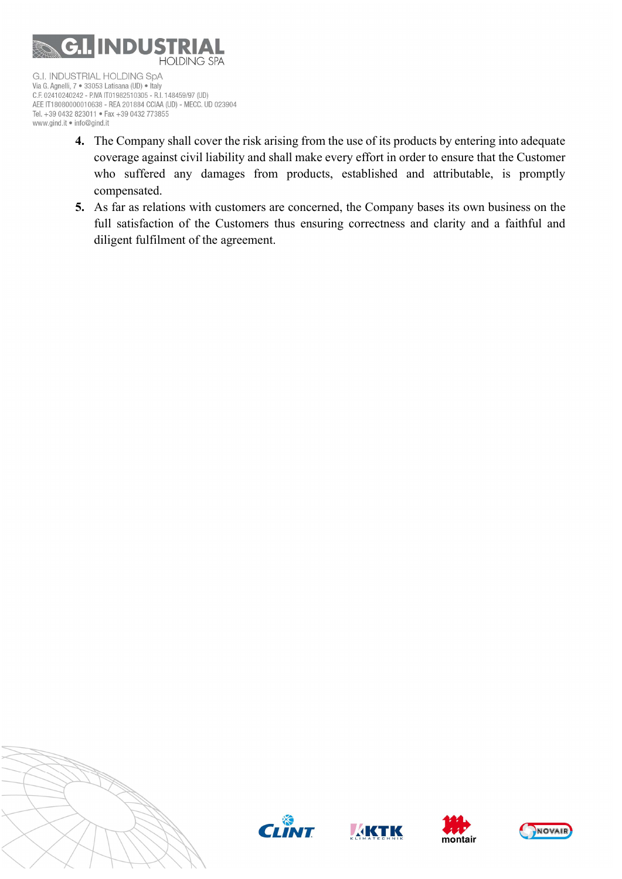

- 4. The Company shall cover the risk arising from the use of its products by entering into adequate coverage against civil liability and shall make every effort in order to ensure that the Customer who suffered any damages from products, established and attributable, is promptly compensated.
- 5. As far as relations with customers are concerned, the Company bases its own business on the full satisfaction of the Customers thus ensuring correctness and clarity and a faithful and diligent fulfilment of the agreement.









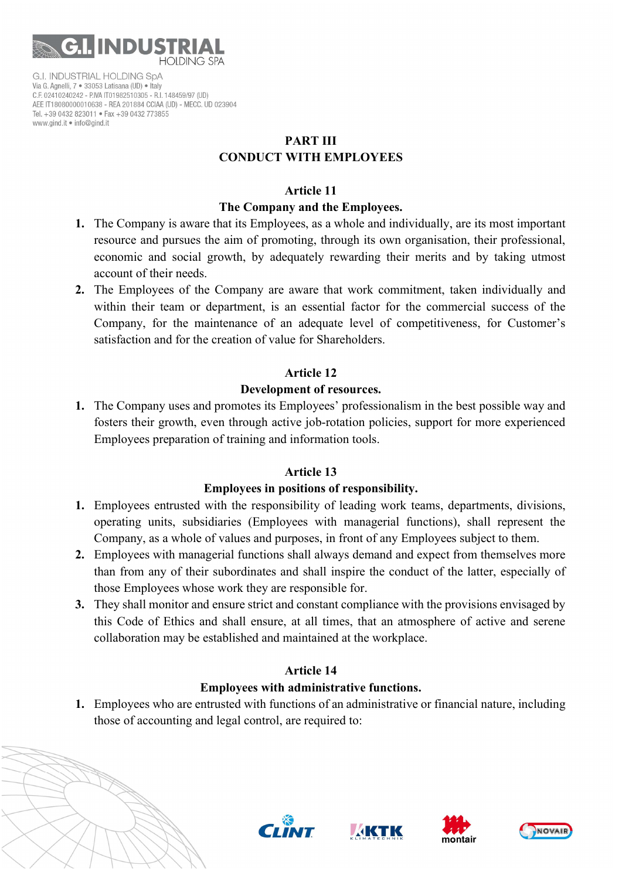

# PART III CONDUCT WITH EMPLOYEES

#### Article 11

# The Company and the Employees.

- 1. The Company is aware that its Employees, as a whole and individually, are its most important resource and pursues the aim of promoting, through its own organisation, their professional, economic and social growth, by adequately rewarding their merits and by taking utmost account of their needs.
- 2. The Employees of the Company are aware that work commitment, taken individually and within their team or department, is an essential factor for the commercial success of the Company, for the maintenance of an adequate level of competitiveness, for Customer's satisfaction and for the creation of value for Shareholders.

# Article 12

# Development of resources.

1. The Company uses and promotes its Employees' professionalism in the best possible way and fosters their growth, even through active job-rotation policies, support for more experienced Employees preparation of training and information tools.

## Article 13

## Employees in positions of responsibility.

- 1. Employees entrusted with the responsibility of leading work teams, departments, divisions, operating units, subsidiaries (Employees with managerial functions), shall represent the Company, as a whole of values and purposes, in front of any Employees subject to them.
- 2. Employees with managerial functions shall always demand and expect from themselves more than from any of their subordinates and shall inspire the conduct of the latter, especially of those Employees whose work they are responsible for.
- 3. They shall monitor and ensure strict and constant compliance with the provisions envisaged by this Code of Ethics and shall ensure, at all times, that an atmosphere of active and serene collaboration may be established and maintained at the workplace.

# Article 14

# Employees with administrative functions.

1. Employees who are entrusted with functions of an administrative or financial nature, including those of accounting and legal control, are required to:







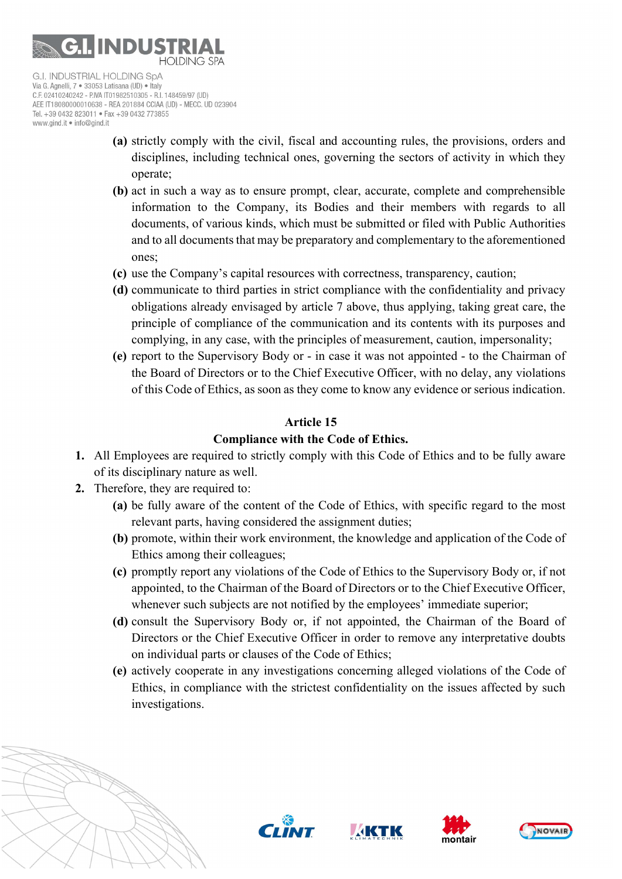

C.F. 02410240242 - P.IVA IT01982510305 - R.I. 148459/97 (UD) AEE IT18080000010638 - REA 201884 CCIAA (UD) - MECC, UD 023904 Tel. +39 0432 823011 · Fax +39 0432 773855 www.gind.it . info@gind.it

- (a) strictly comply with the civil, fiscal and accounting rules, the provisions, orders and disciplines, including technical ones, governing the sectors of activity in which they operate;
- (b) act in such a way as to ensure prompt, clear, accurate, complete and comprehensible information to the Company, its Bodies and their members with regards to all documents, of various kinds, which must be submitted or filed with Public Authorities and to all documents that may be preparatory and complementary to the aforementioned ones;
- (c) use the Company's capital resources with correctness, transparency, caution;
- (d) communicate to third parties in strict compliance with the confidentiality and privacy obligations already envisaged by article 7 above, thus applying, taking great care, the principle of compliance of the communication and its contents with its purposes and complying, in any case, with the principles of measurement, caution, impersonality;
- (e) report to the Supervisory Body or in case it was not appointed to the Chairman of the Board of Directors or to the Chief Executive Officer, with no delay, any violations of this Code of Ethics, as soon as they come to know any evidence or serious indication.

# Article 15

# Compliance with the Code of Ethics.

- 1. All Employees are required to strictly comply with this Code of Ethics and to be fully aware of its disciplinary nature as well.
- 2. Therefore, they are required to:
	- (a) be fully aware of the content of the Code of Ethics, with specific regard to the most relevant parts, having considered the assignment duties;
	- (b) promote, within their work environment, the knowledge and application of the Code of Ethics among their colleagues;
	- (c) promptly report any violations of the Code of Ethics to the Supervisory Body or, if not appointed, to the Chairman of the Board of Directors or to the Chief Executive Officer, whenever such subjects are not notified by the employees' immediate superior;
	- (d) consult the Supervisory Body or, if not appointed, the Chairman of the Board of Directors or the Chief Executive Officer in order to remove any interpretative doubts on individual parts or clauses of the Code of Ethics;
	- (e) actively cooperate in any investigations concerning alleged violations of the Code of Ethics, in compliance with the strictest confidentiality on the issues affected by such investigations.









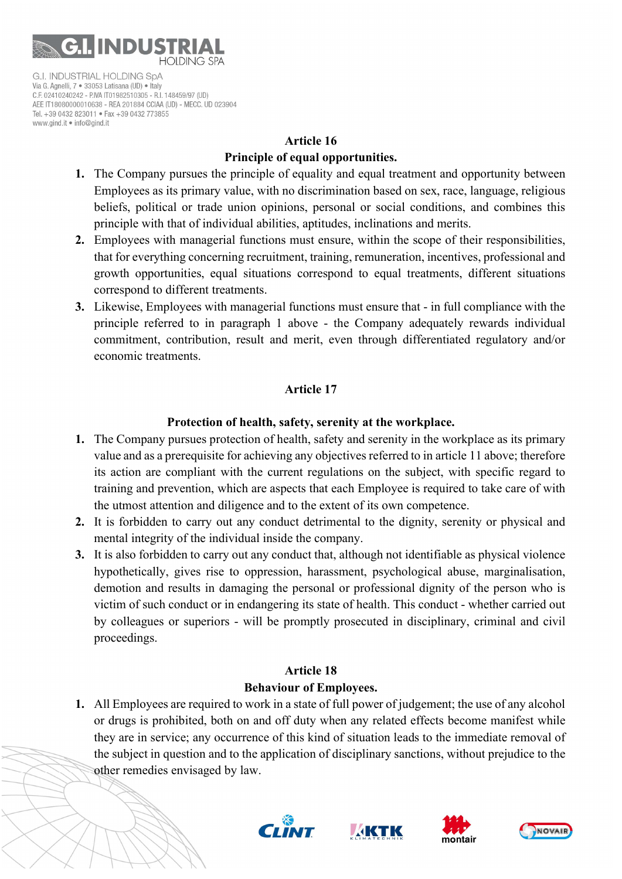

# Article 16 Principle of equal opportunities.

- 1. The Company pursues the principle of equality and equal treatment and opportunity between Employees as its primary value, with no discrimination based on sex, race, language, religious beliefs, political or trade union opinions, personal or social conditions, and combines this principle with that of individual abilities, aptitudes, inclinations and merits.
- 2. Employees with managerial functions must ensure, within the scope of their responsibilities, that for everything concerning recruitment, training, remuneration, incentives, professional and growth opportunities, equal situations correspond to equal treatments, different situations correspond to different treatments.
- 3. Likewise, Employees with managerial functions must ensure that in full compliance with the principle referred to in paragraph 1 above - the Company adequately rewards individual commitment, contribution, result and merit, even through differentiated regulatory and/or economic treatments.

# Article 17

# Protection of health, safety, serenity at the workplace.

- 1. The Company pursues protection of health, safety and serenity in the workplace as its primary value and as a prerequisite for achieving any objectives referred to in article 11 above; therefore its action are compliant with the current regulations on the subject, with specific regard to training and prevention, which are aspects that each Employee is required to take care of with the utmost attention and diligence and to the extent of its own competence.
- 2. It is forbidden to carry out any conduct detrimental to the dignity, serenity or physical and mental integrity of the individual inside the company.
- 3. It is also forbidden to carry out any conduct that, although not identifiable as physical violence hypothetically, gives rise to oppression, harassment, psychological abuse, marginalisation, demotion and results in damaging the personal or professional dignity of the person who is victim of such conduct or in endangering its state of health. This conduct - whether carried out by colleagues or superiors - will be promptly prosecuted in disciplinary, criminal and civil proceedings.

# Article 18 Behaviour of Employees.

1. All Employees are required to work in a state of full power of judgement; the use of any alcohol or drugs is prohibited, both on and off duty when any related effects become manifest while they are in service; any occurrence of this kind of situation leads to the immediate removal of the subject in question and to the application of disciplinary sanctions, without prejudice to the other remedies envisaged by law.







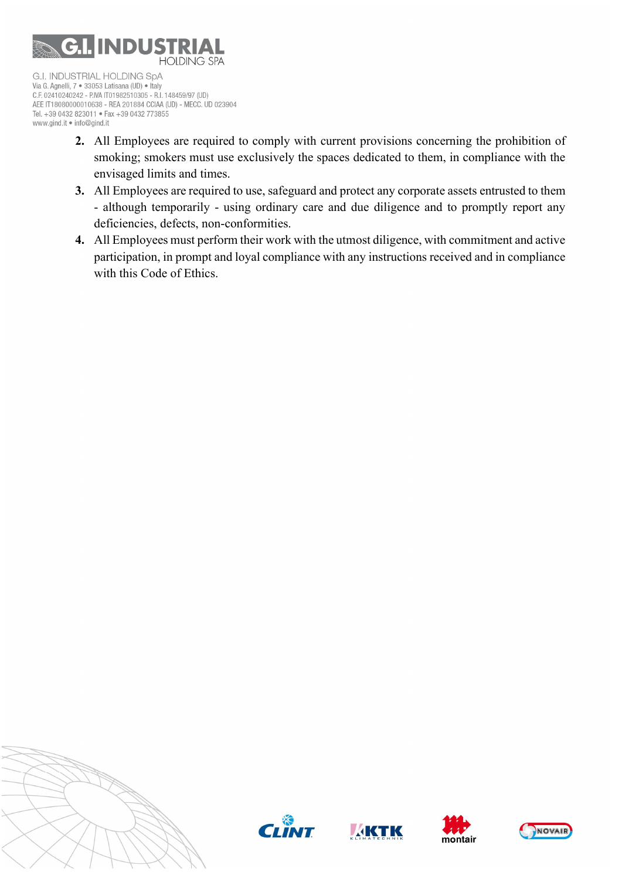

C.F. 02410240242 - P.IVA IT01982510305 - R.I. 148459/97 (UD) AEE IT18080000010638 - REA 201884 CCIAA (UD) - MECC. UD 023904 Tel. +39 0432 823011 · Fax +39 0432 773855 www.gind.it . info@gind.it

- 2. All Employees are required to comply with current provisions concerning the prohibition of smoking; smokers must use exclusively the spaces dedicated to them, in compliance with the envisaged limits and times.
- 3. All Employees are required to use, safeguard and protect any corporate assets entrusted to them - although temporarily - using ordinary care and due diligence and to promptly report any deficiencies, defects, non-conformities.
- 4. All Employees must perform their work with the utmost diligence, with commitment and active participation, in prompt and loyal compliance with any instructions received and in compliance with this Code of Ethics.









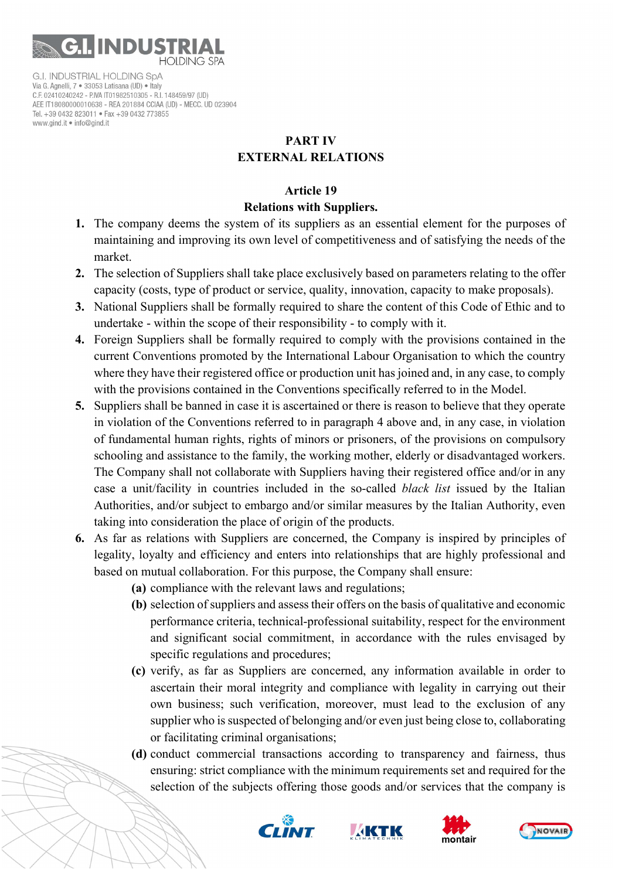

# PART IV EXTERNAL RELATIONS

# Article 19

# Relations with Suppliers.

- 1. The company deems the system of its suppliers as an essential element for the purposes of maintaining and improving its own level of competitiveness and of satisfying the needs of the market.
- 2. The selection of Suppliers shall take place exclusively based on parameters relating to the offer capacity (costs, type of product or service, quality, innovation, capacity to make proposals).
- 3. National Suppliers shall be formally required to share the content of this Code of Ethic and to undertake - within the scope of their responsibility - to comply with it.
- 4. Foreign Suppliers shall be formally required to comply with the provisions contained in the current Conventions promoted by the International Labour Organisation to which the country where they have their registered office or production unit has joined and, in any case, to comply with the provisions contained in the Conventions specifically referred to in the Model.
- 5. Suppliers shall be banned in case it is ascertained or there is reason to believe that they operate in violation of the Conventions referred to in paragraph 4 above and, in any case, in violation of fundamental human rights, rights of minors or prisoners, of the provisions on compulsory schooling and assistance to the family, the working mother, elderly or disadvantaged workers. The Company shall not collaborate with Suppliers having their registered office and/or in any case a unit/facility in countries included in the so-called black list issued by the Italian Authorities, and/or subject to embargo and/or similar measures by the Italian Authority, even taking into consideration the place of origin of the products.
- 6. As far as relations with Suppliers are concerned, the Company is inspired by principles of legality, loyalty and efficiency and enters into relationships that are highly professional and based on mutual collaboration. For this purpose, the Company shall ensure:
	- (a) compliance with the relevant laws and regulations;
	- (b) selection of suppliers and assess their offers on the basis of qualitative and economic performance criteria, technical-professional suitability, respect for the environment and significant social commitment, in accordance with the rules envisaged by specific regulations and procedures;
	- (c) verify, as far as Suppliers are concerned, any information available in order to ascertain their moral integrity and compliance with legality in carrying out their own business; such verification, moreover, must lead to the exclusion of any supplier who is suspected of belonging and/or even just being close to, collaborating or facilitating criminal organisations;
	- (d) conduct commercial transactions according to transparency and fairness, thus ensuring: strict compliance with the minimum requirements set and required for the selection of the subjects offering those goods and/or services that the company is







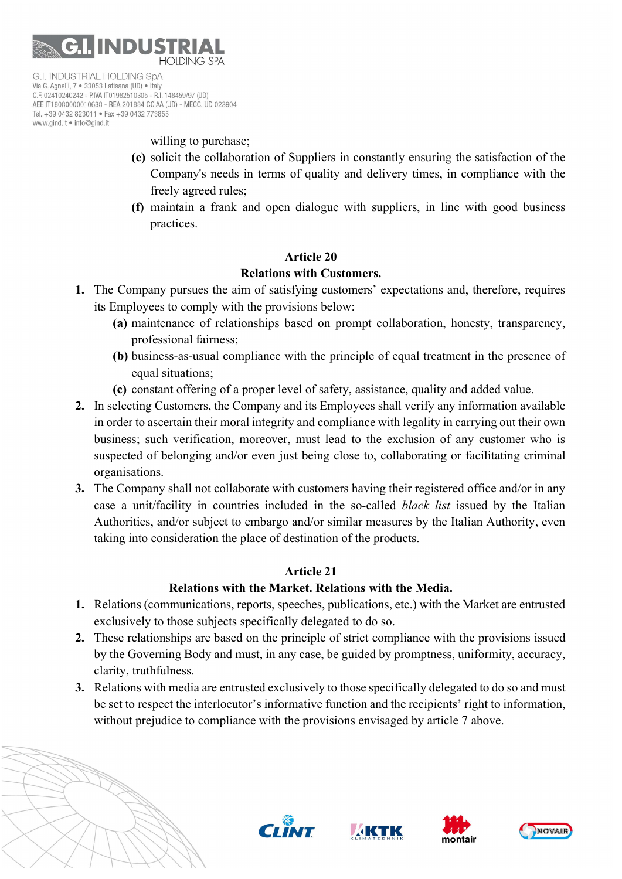

willing to purchase;

- (e) solicit the collaboration of Suppliers in constantly ensuring the satisfaction of the Company's needs in terms of quality and delivery times, in compliance with the freely agreed rules;
- (f) maintain a frank and open dialogue with suppliers, in line with good business practices.

## Article 20

#### Relations with Customers.

- 1. The Company pursues the aim of satisfying customers' expectations and, therefore, requires its Employees to comply with the provisions below:
	- (a) maintenance of relationships based on prompt collaboration, honesty, transparency, professional fairness;
	- (b) business-as-usual compliance with the principle of equal treatment in the presence of equal situations;
	- (c) constant offering of a proper level of safety, assistance, quality and added value.
- 2. In selecting Customers, the Company and its Employees shall verify any information available in order to ascertain their moral integrity and compliance with legality in carrying out their own business; such verification, moreover, must lead to the exclusion of any customer who is suspected of belonging and/or even just being close to, collaborating or facilitating criminal organisations.
- 3. The Company shall not collaborate with customers having their registered office and/or in any case a unit/facility in countries included in the so-called black list issued by the Italian Authorities, and/or subject to embargo and/or similar measures by the Italian Authority, even taking into consideration the place of destination of the products.

# Article 21

## Relations with the Market. Relations with the Media.

- 1. Relations (communications, reports, speeches, publications, etc.) with the Market are entrusted exclusively to those subjects specifically delegated to do so.
- 2. These relationships are based on the principle of strict compliance with the provisions issued by the Governing Body and must, in any case, be guided by promptness, uniformity, accuracy, clarity, truthfulness.
- 3. Relations with media are entrusted exclusively to those specifically delegated to do so and must be set to respect the interlocutor's informative function and the recipients' right to information, without prejudice to compliance with the provisions envisaged by article 7 above.







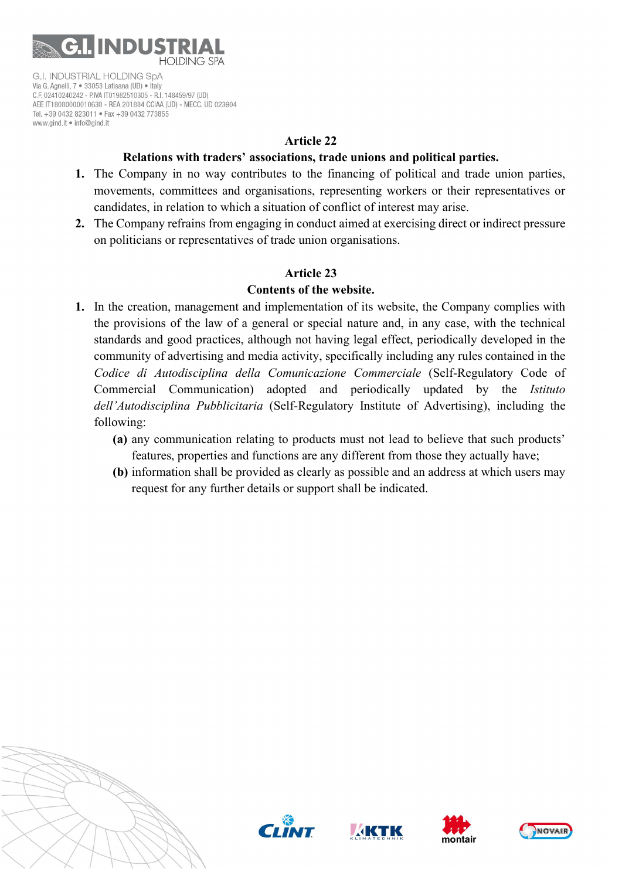

#### Article 22

#### Relations with traders' associations, trade unions and political parties.

- 1. The Company in no way contributes to the financing of political and trade union parties, movements, committees and organisations, representing workers or their representatives or candidates, in relation to which a situation of conflict of interest may arise.
- 2. The Company refrains from engaging in conduct aimed at exercising direct or indirect pressure on politicians or representatives of trade union organisations.

# Article 23

## Contents of the website.

- 1. In the creation, management and implementation of its website, the Company complies with the provisions of the law of a general or special nature and, in any case, with the technical standards and good practices, although not having legal effect, periodically developed in the community of advertising and media activity, specifically including any rules contained in the Codice di Autodisciplina della Comunicazione Commerciale (Self-Regulatory Code of Commercial Communication) adopted and periodically updated by the Istituto dell'Autodisciplina Pubblicitaria (Self-Regulatory Institute of Advertising), including the following:
	- (a) any communication relating to products must not lead to believe that such products' features, properties and functions are any different from those they actually have;
	- (b) information shall be provided as clearly as possible and an address at which users may request for any further details or support shall be indicated.









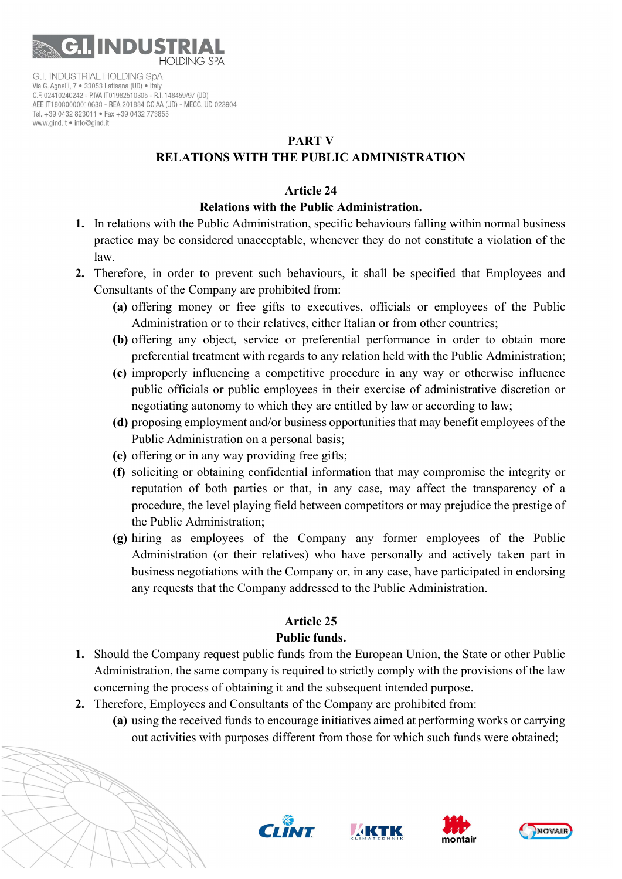

#### PART V

# RELATIONS WITH THE PUBLIC ADMINISTRATION

#### Article 24

## Relations with the Public Administration.

- 1. In relations with the Public Administration, specific behaviours falling within normal business practice may be considered unacceptable, whenever they do not constitute a violation of the law.
- 2. Therefore, in order to prevent such behaviours, it shall be specified that Employees and Consultants of the Company are prohibited from:
	- (a) offering money or free gifts to executives, officials or employees of the Public Administration or to their relatives, either Italian or from other countries;
	- (b) offering any object, service or preferential performance in order to obtain more preferential treatment with regards to any relation held with the Public Administration;
	- (c) improperly influencing a competitive procedure in any way or otherwise influence public officials or public employees in their exercise of administrative discretion or negotiating autonomy to which they are entitled by law or according to law;
	- (d) proposing employment and/or business opportunities that may benefit employees of the Public Administration on a personal basis;
	- (e) offering or in any way providing free gifts;
	- (f) soliciting or obtaining confidential information that may compromise the integrity or reputation of both parties or that, in any case, may affect the transparency of a procedure, the level playing field between competitors or may prejudice the prestige of the Public Administration;
	- (g) hiring as employees of the Company any former employees of the Public Administration (or their relatives) who have personally and actively taken part in business negotiations with the Company or, in any case, have participated in endorsing any requests that the Company addressed to the Public Administration.

# Article 25

# Public funds.

- 1. Should the Company request public funds from the European Union, the State or other Public Administration, the same company is required to strictly comply with the provisions of the law concerning the process of obtaining it and the subsequent intended purpose.
- 2. Therefore, Employees and Consultants of the Company are prohibited from:
	- (a) using the received funds to encourage initiatives aimed at performing works or carrying out activities with purposes different from those for which such funds were obtained;







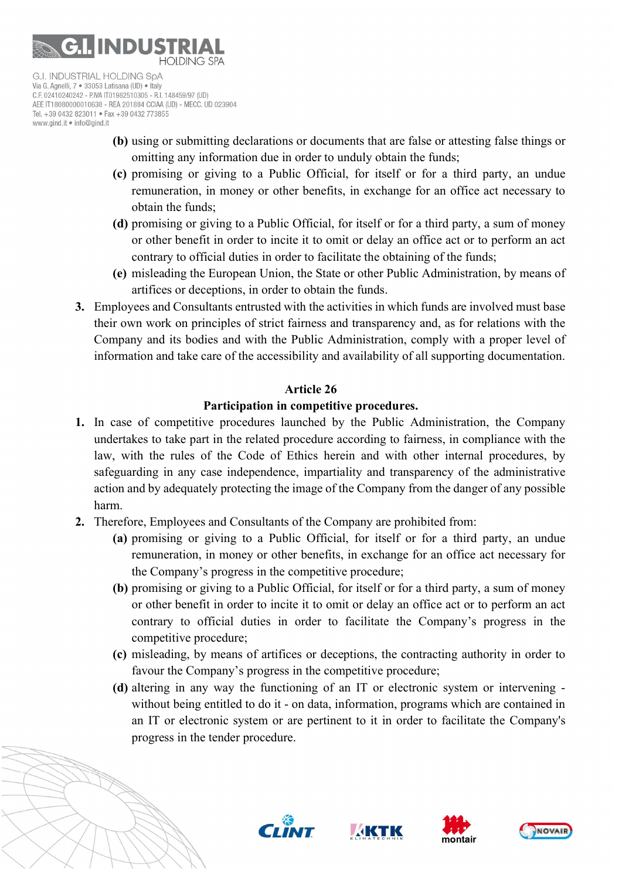

- (b) using or submitting declarations or documents that are false or attesting false things or omitting any information due in order to unduly obtain the funds;
- (c) promising or giving to a Public Official, for itself or for a third party, an undue remuneration, in money or other benefits, in exchange for an office act necessary to obtain the funds;
- (d) promising or giving to a Public Official, for itself or for a third party, a sum of money or other benefit in order to incite it to omit or delay an office act or to perform an act contrary to official duties in order to facilitate the obtaining of the funds;
- (e) misleading the European Union, the State or other Public Administration, by means of artifices or deceptions, in order to obtain the funds.
- 3. Employees and Consultants entrusted with the activities in which funds are involved must base their own work on principles of strict fairness and transparency and, as for relations with the Company and its bodies and with the Public Administration, comply with a proper level of information and take care of the accessibility and availability of all supporting documentation.

# Article 26

# Participation in competitive procedures.

- 1. In case of competitive procedures launched by the Public Administration, the Company undertakes to take part in the related procedure according to fairness, in compliance with the law, with the rules of the Code of Ethics herein and with other internal procedures, by safeguarding in any case independence, impartiality and transparency of the administrative action and by adequately protecting the image of the Company from the danger of any possible harm.
- 2. Therefore, Employees and Consultants of the Company are prohibited from:
	- (a) promising or giving to a Public Official, for itself or for a third party, an undue remuneration, in money or other benefits, in exchange for an office act necessary for the Company's progress in the competitive procedure;
	- (b) promising or giving to a Public Official, for itself or for a third party, a sum of money or other benefit in order to incite it to omit or delay an office act or to perform an act contrary to official duties in order to facilitate the Company's progress in the competitive procedure;
	- (c) misleading, by means of artifices or deceptions, the contracting authority in order to favour the Company's progress in the competitive procedure;
	- (d) altering in any way the functioning of an IT or electronic system or intervening without being entitled to do it - on data, information, programs which are contained in an IT or electronic system or are pertinent to it in order to facilitate the Company's progress in the tender procedure.







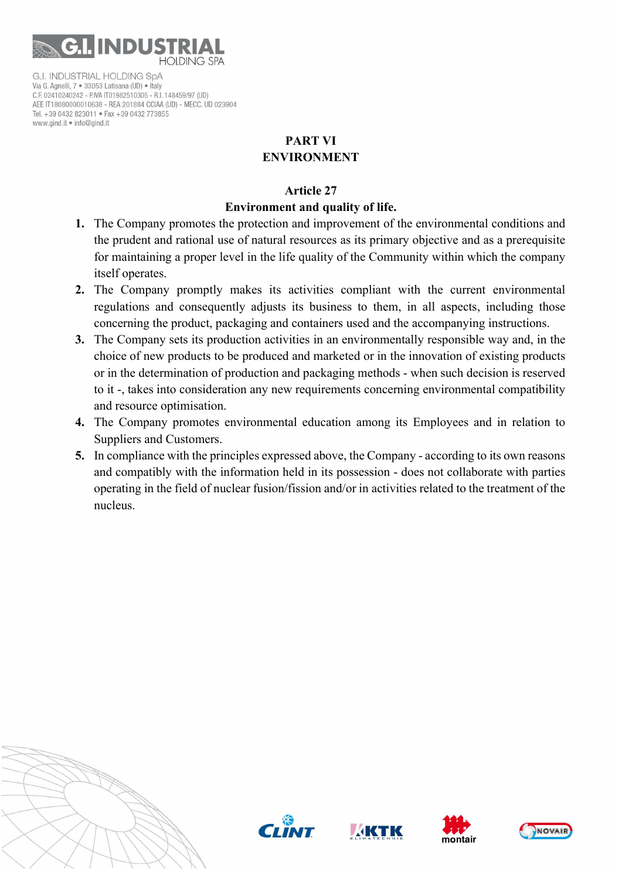

# PART VI ENVIRONMENT

## Article 27

# Environment and quality of life.

- 1. The Company promotes the protection and improvement of the environmental conditions and the prudent and rational use of natural resources as its primary objective and as a prerequisite for maintaining a proper level in the life quality of the Community within which the company itself operates.
- 2. The Company promptly makes its activities compliant with the current environmental regulations and consequently adjusts its business to them, in all aspects, including those concerning the product, packaging and containers used and the accompanying instructions.
- 3. The Company sets its production activities in an environmentally responsible way and, in the choice of new products to be produced and marketed or in the innovation of existing products or in the determination of production and packaging methods - when such decision is reserved to it -, takes into consideration any new requirements concerning environmental compatibility and resource optimisation.
- 4. The Company promotes environmental education among its Employees and in relation to Suppliers and Customers.
- 5. In compliance with the principles expressed above, the Company according to its own reasons and compatibly with the information held in its possession - does not collaborate with parties operating in the field of nuclear fusion/fission and/or in activities related to the treatment of the nucleus.









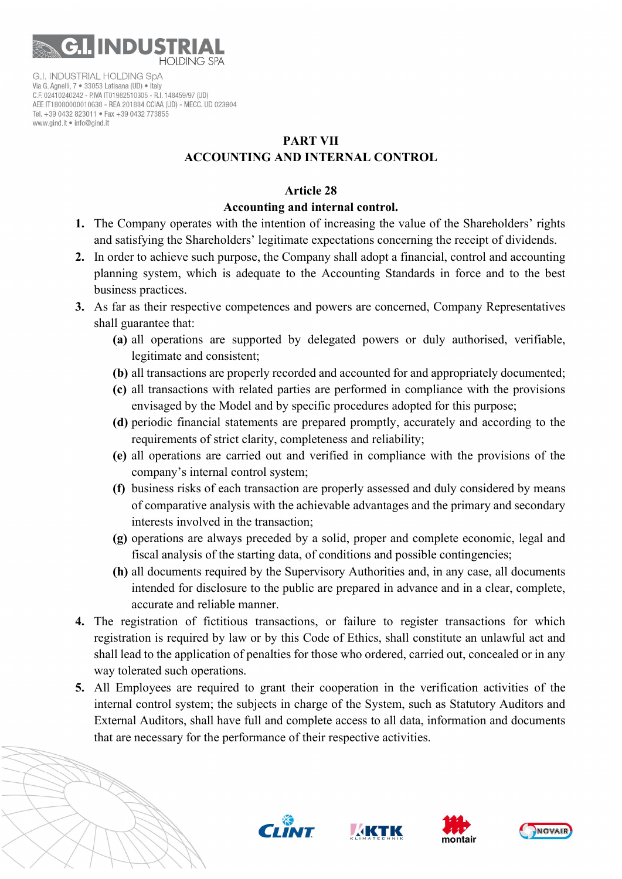

# PART VII ACCOUNTING AND INTERNAL CONTROL

#### Article 28

#### Accounting and internal control.

- 1. The Company operates with the intention of increasing the value of the Shareholders' rights and satisfying the Shareholders' legitimate expectations concerning the receipt of dividends.
- 2. In order to achieve such purpose, the Company shall adopt a financial, control and accounting planning system, which is adequate to the Accounting Standards in force and to the best business practices.
- 3. As far as their respective competences and powers are concerned, Company Representatives shall guarantee that:
	- (a) all operations are supported by delegated powers or duly authorised, verifiable, legitimate and consistent;
	- (b) all transactions are properly recorded and accounted for and appropriately documented;
	- (c) all transactions with related parties are performed in compliance with the provisions envisaged by the Model and by specific procedures adopted for this purpose;
	- (d) periodic financial statements are prepared promptly, accurately and according to the requirements of strict clarity, completeness and reliability;
	- (e) all operations are carried out and verified in compliance with the provisions of the company's internal control system;
	- (f) business risks of each transaction are properly assessed and duly considered by means of comparative analysis with the achievable advantages and the primary and secondary interests involved in the transaction;
	- (g) operations are always preceded by a solid, proper and complete economic, legal and fiscal analysis of the starting data, of conditions and possible contingencies;
	- (h) all documents required by the Supervisory Authorities and, in any case, all documents intended for disclosure to the public are prepared in advance and in a clear, complete, accurate and reliable manner.
- 4. The registration of fictitious transactions, or failure to register transactions for which registration is required by law or by this Code of Ethics, shall constitute an unlawful act and shall lead to the application of penalties for those who ordered, carried out, concealed or in any way tolerated such operations.
- 5. All Employees are required to grant their cooperation in the verification activities of the internal control system; the subjects in charge of the System, such as Statutory Auditors and External Auditors, shall have full and complete access to all data, information and documents that are necessary for the performance of their respective activities.